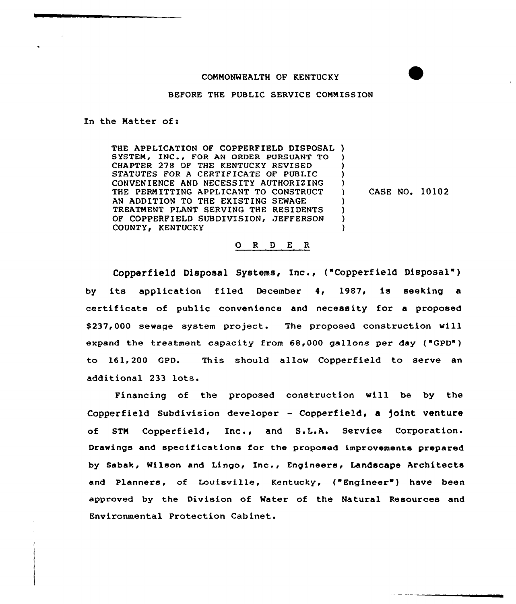## COMMONWEALTH OF KENTUCKY

BEFORE THE PUBLIC SERVICE COMMISSION

In the Natter of:

THE APPLICATION OF COPPERFIELD DISPOSAL ) SYSTEM, INC., FOR AN ORDER PURSUANT TO CHAPTER 278 OF THE KENTUCKY REVISED STATUTES FOR A CERTIFICATE OF PUBLIC CONVENIENCE AND NECESSITY AUTHORIZING THE PERMITTING APPLICANT TO CONSTRUCT AN ADDITION TO THE EXISTING SEWAGE TREATMENT PLANT SERVING THE RESIDENTS OF COPPERFIELD SUBDIVISION, JEFFERSON COUNTY, KENTUCKY ) ) ) ) ) ) ) )

) CASE NO. 10102

0 <sup>R</sup> <sup>D</sup> E <sup>R</sup>

Copperfield Disposal Systems, Inc., ("Copperfield Disposal") by its application filed December 4, 1987, is seeking a certificate of public convenience and necessity for a proposed \$237,000 sewage system project. The proposed construction will expand the treatment capacity from 68,000 gallons per day ("GPD") to 161,200 GPD. This should allow Copperfield to serve an additional 233 lots.

Financing of the proposed construction will be by the Copperfield Subdivision developer — Copperfield, a foint venture of STM Copperfield, Inc., and S.L.A. Service Corporation. Drawings and specifications for the proposed improvements prepared by Sabak, Wilson and Lingo, Inc., Engineers, Landscape Architects and Planners, of Louisville, Kentucky, ("Engineer") have been approved by the Division of Water of the Natural Resources and Environmental Protection Cabinet.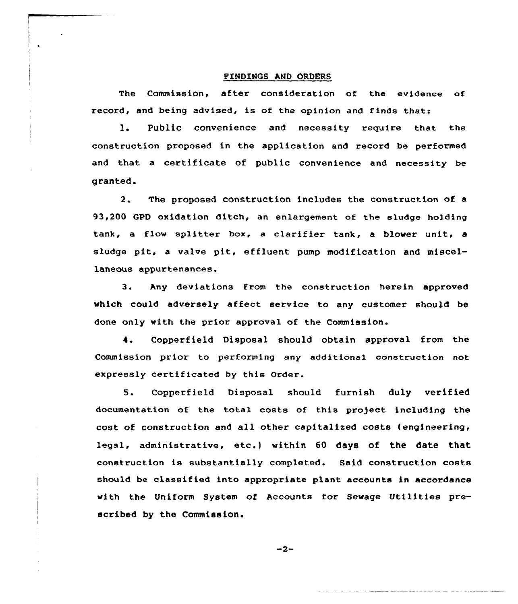## FINDINGS AND ORDERS

The Commission, after consideration of the evidence of record, and being advised, is af the opinion and finds that:

1. Public convenience and necessity require that the construction proposed in the application and record be performed and that a certificate of public convenience and necessity be granted.

2. The proposed construction includes the construction of a 93,200 GPD axidation ditch, an enlargement of the sludge holding tank, a flow splitter box, a clarifier tank, a blower unit, a sludge pit, a valve pit, effluent pump modification and miscellaneous appurtenances.

3. Any deviations from the construction herein approved which cauld adversely affect service to any customer should be done only with the prior approval of the Commission.

4. Copperfield Disposal should obtain approval from the Commission prior to performing any additional construction not expressly certificated by this Order.

5. Copperfield Disposal should furnish duly verified documentation of the total costs of this pro)ect including the cost of construction and all other capitalized costs (engineering, legal, administrative, etc.} within <sup>60</sup> days of the date that construction is substantially completed. Said construction costs should be classified into appropriate plant accounts in accordance with the Uniform System of Accounts for Sewage Utilities prescribed by the Commission.

 $-2-$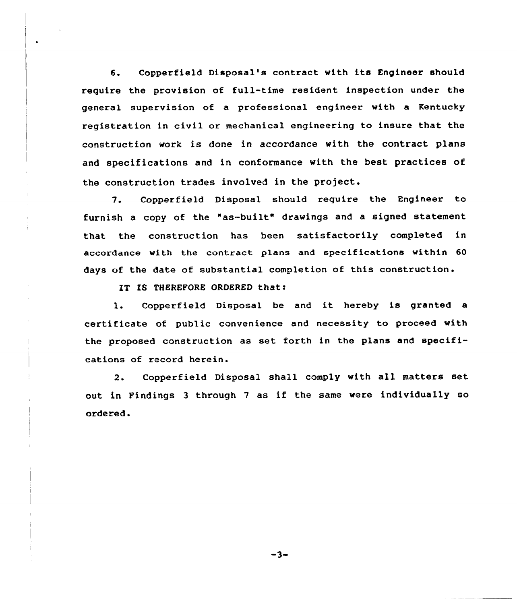6. Copperfield Disposal's contract with its Engineer should require the provision of full-time resident inspection under the general supervision of a professional engineer with a Kentucky registration in civil or mechanical engineering to insure that the construction work is done in accordance with the contract plans and specifications and in conformance with the best practices of the construction trades involved in the project.

7. Copperfield Disposal should require the Engineer to furnish a copy of the "as-built" drawings and a signed statement that the construction has been satisfactorily completed in accordance with the contract plans and specifications within 60 days of the date of substantial completion of this construction.

IT IS THEREFORE ORDERED that:

1. Copperfield Disposal be and it hereby is granted <sup>a</sup> certificate of public convenience and necessity to proceed with the proposed construction as set forth in the plans and specifications of record herein.

2. Copperfield Disposal shall comply with all matters set out in Findings <sup>3</sup> through <sup>7</sup> as if the same were individually so ordered

 $-3-$